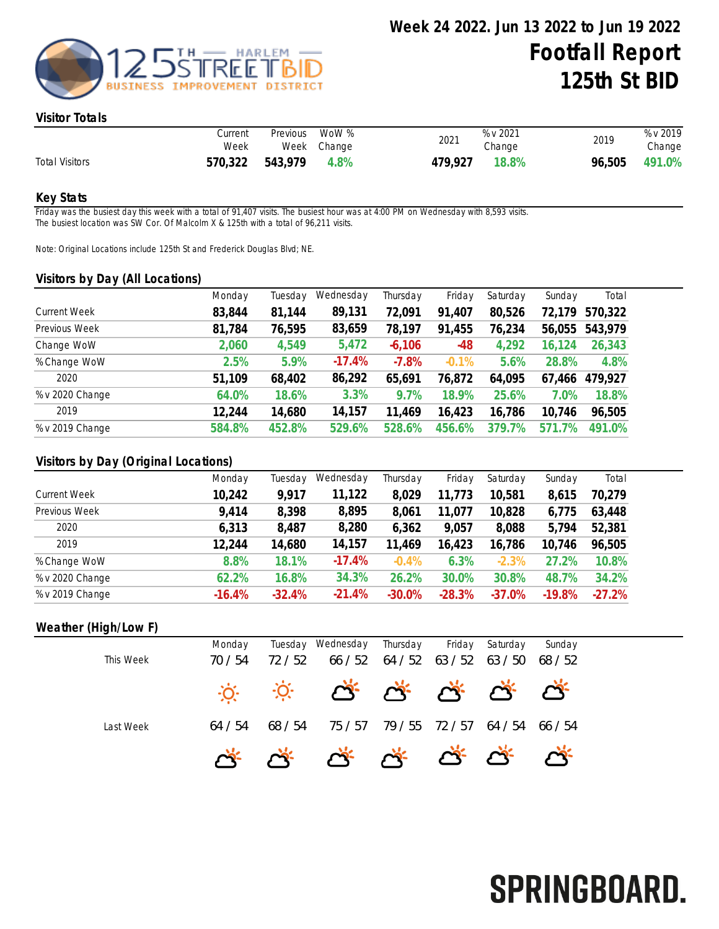

#### Visitor Totals

|                       | Current<br>Week | Previous | WoW %<br>Week Change | 2021    | % v 2021<br>Change | 2019   | % v 2019<br>Change |
|-----------------------|-----------------|----------|----------------------|---------|--------------------|--------|--------------------|
| <b>Total Visitors</b> | 570,322         | 543,979  | 4.8%                 | 479,927 | 18.8%              | 96,505 | 491.0%             |

### Key Stats

Friday was the busiest day this week with a total of 91,407 visits. The busiest hour was at 4:00 PM on Wednesday with 8,593 visits. The busiest location was SW Cor. Of Malcolm X & 125th with a total of 96,211 visits.

Note: Original Locations include 125th St and Frederick Douglas Blvd; NE.

#### Visitors by Day (All Locations)

| $\overline{\phantom{a}}$<br><u>,</u> |        |         |           |          |          |            |                      |         |
|--------------------------------------|--------|---------|-----------|----------|----------|------------|----------------------|---------|
|                                      | Monday | Tuesday | Wednesday | Thursday | Friday   | Saturday   | Sunday               | Total   |
| <b>Current Week</b>                  | 83,844 | 81,144  | 89,131    | 72,091   | 91,407   | 80,526     | 72,179               | 570,322 |
| Previous Week                        | 81,784 | 76,595  | 83,659    | 78,197   | 91,455   | 76,234     | 56,055               | 543,979 |
| Change WoW                           | 2,060  | 4,549   | 5,472     | $-6,106$ | $-48$    | 4,292      | $^{\circ}24$<br>16,1 | 26,343  |
| % Change WoW                         | 2.5%   | 5.9%    | $-17.4%$  | $-7.8%$  | $-0.1\%$ | 5.6%       | 28.8%                | 4.8%    |
| 2020                                 | 51,109 | 68,402  | 86,292    | 65,691   | 76,872   | 64,095     | 67,466               | 479,927 |
| % v 2020 Change                      | 64.0%  | 18.6%   | 3.3%      | 9.7%     | 18.9%    | 25.6%      | 7.0%                 | 18.8%   |
| 2019                                 | 12,244 | 14,680  | 14,157    | 11,469   | 16,423   | 16,786     | 10,746               | 96,505  |
| % v 2019 Change                      | 584.8% | 452.8%  | 529.6%    | 528.6%   | 456.6%   | 7%<br>379. | $.7\%$<br>571        | 491.0%  |
|                                      |        |         |           |          |          |            |                      |         |

### Visitors by Day (Original Locations)

|                     | Monday   | Tuesdav  | Wednesday | Thursday | Friday   | Saturday | Sunday   | Total    |
|---------------------|----------|----------|-----------|----------|----------|----------|----------|----------|
| <b>Current Week</b> | 10,242   | 9,917    | 11,122    | 8,029    | 11,773   | 10,581   | 8,615    | 70,279   |
| Previous Week       | 9,414    | 8,398    | 8,895     | 8,061    | 11,077   | 10,828   | 6,775    | 63,448   |
| 2020                | 6,313    | 8,487    | 8,280     | 6,362    | 9,057    | 8,088    | 5,794    | 52,381   |
| 2019                | 12,244   | 14,680   | 14,157    | 11,469   | 16,423   | 16,786   | 10,746   | 96,505   |
| % Change WoW        | 8.8%     | 18.1%    | $-17.4%$  | $-0.4%$  | 6.3%     | $-2.3%$  | 27.2%    | 10.8%    |
| % v 2020 Change     | 62.2%    | 16.8%    | 34.3%     | 26.2%    | 30.0%    | 30.8%    | 48.7%    | 34.2%    |
| % v 2019 Change     | $-16.4%$ | $-32.4%$ | $-21.4%$  | $-30.0%$ | $-28.3%$ | $-37.0%$ | $-19.8%$ | $-27.2%$ |

### Weather (High/Low F)

|           | Monday  |         | Tuesday Wednesday Thursday      |                     | Friday | Saturday | Sunday  |
|-----------|---------|---------|---------------------------------|---------------------|--------|----------|---------|
| This Week | 70 / 54 | 72 / 52 | 66 / 52                         | $64 / 52$ $63 / 52$ |        | 63 / 50  | 68 / 52 |
|           |         |         | ** * * * * * * * * *            |                     |        |          |         |
| Last Week | 64 / 54 | 68 / 54 | 75 / 57                         | 79/55 72/57         |        | 64 / 54  | 66 / 54 |
|           |         |         | <u>G., G., G., G., G., G., </u> |                     |        |          |         |

# SPRINGBOARD.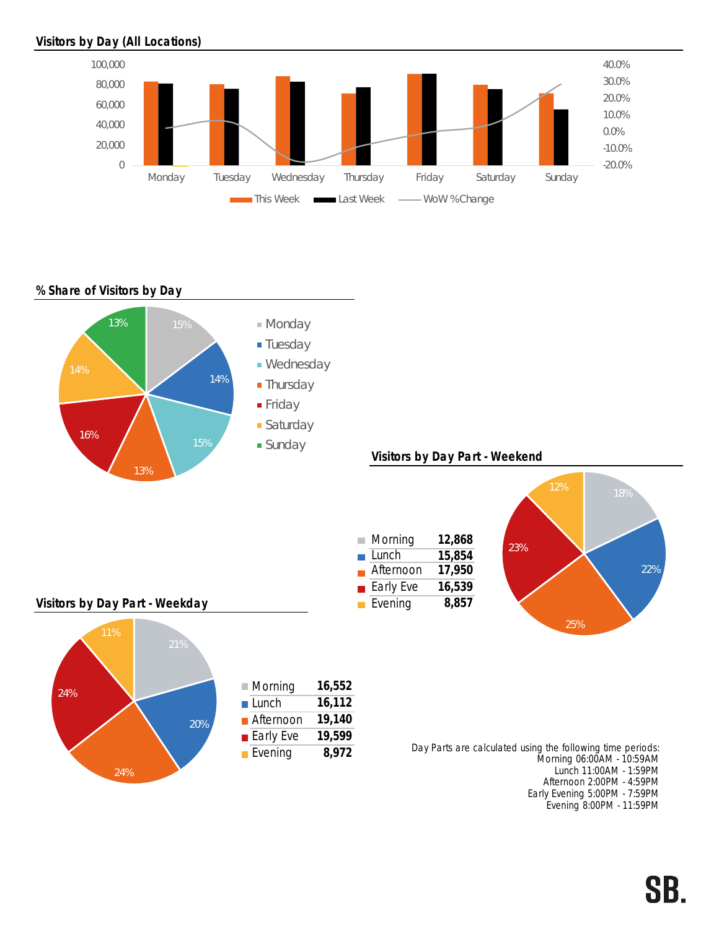## Visitors by Day (All Locations)



### % Share of Visitors by Day



Afternoon 2:00PM - 4:59PM Early Evening 5:00PM - 7:59PM Evening 8:00PM - 11:59PM

## SB.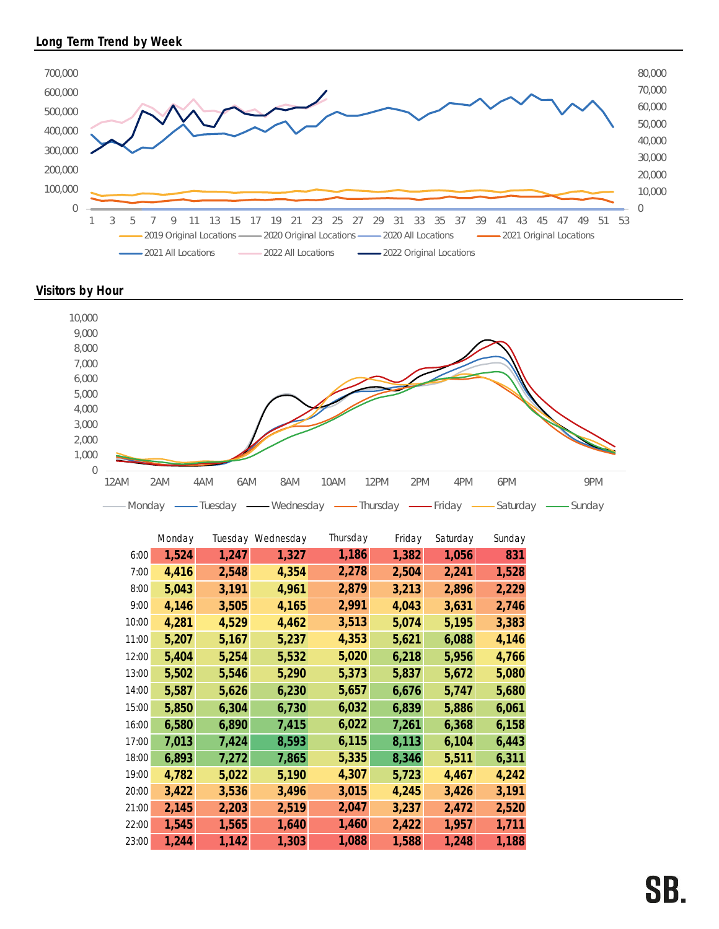



Visitors by Hour



|       | Monday |       | Tuesday Wednesday | Thursday | Friday | Saturday | Sunday |
|-------|--------|-------|-------------------|----------|--------|----------|--------|
| 6:00  | 1,524  | 1,247 | 1,327             | 1,186    | 1,382  | 1,056    | 831    |
| 7:00  | 4,416  | 2,548 | 4,354             | 2,278    | 2,504  | 2,241    | 1,528  |
| 8:00  | 5,043  | 3,191 | 4,961             | 2,879    | 3,213  | 2,896    | 2,229  |
| 9:00  | 4,146  | 3,505 | 4,165             | 2,991    | 4,043  | 3,631    | 2,746  |
| 10:00 | 4,281  | 4,529 | 4,462             | 3,513    | 5,074  | 5,195    | 3,383  |
| 11:00 | 5,207  | 5,167 | 5,237             | 4,353    | 5,621  | 6,088    | 4,146  |
| 12:00 | 5,404  | 5,254 | 5,532             | 5,020    | 6,218  | 5,956    | 4,766  |
| 13:00 | 5,502  | 5,546 | 5,290             | 5,373    | 5,837  | 5,672    | 5,080  |
| 14:00 | 5,587  | 5,626 | 6,230             | 5,657    | 6,676  | 5,747    | 5,680  |
| 15:00 | 5,850  | 6,304 | 6,730             | 6,032    | 6,839  | 5,886    | 6,061  |
| 16:00 | 6,580  | 6,890 | 7,415             | 6,022    | 7,261  | 6,368    | 6,158  |
| 17:00 | 7,013  | 7,424 | 8,593             | 6,115    | 8,113  | 6,104    | 6,443  |
| 18:00 | 6,893  | 7,272 | 7,865             | 5,335    | 8,346  | 5,511    | 6,311  |
| 19:00 | 4,782  | 5,022 | 5,190             | 4,307    | 5,723  | 4,467    | 4,242  |
| 20:00 | 3,422  | 3,536 | 3,496             | 3,015    | 4,245  | 3,426    | 3,191  |
| 21:00 | 2,145  | 2,203 | 2,519             | 2,047    | 3,237  | 2,472    | 2,520  |
| 22:00 | 1,545  | 1,565 | 1,640             | 1,460    | 2,422  | 1,957    | 1,711  |
| 23:00 | 1,244  | 1,142 | 1,303             | 1,088    | 1,588  | 1,248    | 1,188  |